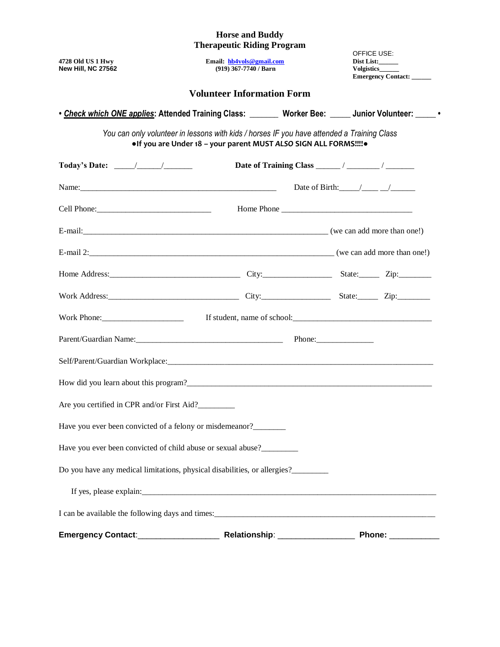#### **Horse and Buddy Therapeutic Riding Program**

| 4728 Old US 1 Hwy<br><b>New Hill, NC 27562</b>                                                               | Email: hb4vols@gmail.com<br>(919) 367-7740 / Barn                                                                                                              | OFFICE USE: | Dist List:<br>Volgistics______<br>Emergency Contact: |  |  |  |  |  |
|--------------------------------------------------------------------------------------------------------------|----------------------------------------------------------------------------------------------------------------------------------------------------------------|-------------|------------------------------------------------------|--|--|--|--|--|
| <b>Volunteer Information Form</b>                                                                            |                                                                                                                                                                |             |                                                      |  |  |  |  |  |
| • Check which ONE applies: Attended Training Class: Worker Bee: Morker Bee: Junior Volunteer: Worker Concert |                                                                                                                                                                |             |                                                      |  |  |  |  |  |
|                                                                                                              | You can only volunteer in lessons with kids / horses IF you have attended a Training Class<br>•If you are Under 18 - your parent MUST ALSO SIGN ALL FORMS!!!!• |             |                                                      |  |  |  |  |  |
| Today's Date: $\frac{\sqrt{2}}{2}$                                                                           |                                                                                                                                                                |             |                                                      |  |  |  |  |  |
|                                                                                                              |                                                                                                                                                                |             | Date of Birth: $\angle$                              |  |  |  |  |  |
|                                                                                                              |                                                                                                                                                                |             |                                                      |  |  |  |  |  |
|                                                                                                              |                                                                                                                                                                |             |                                                      |  |  |  |  |  |
|                                                                                                              |                                                                                                                                                                |             |                                                      |  |  |  |  |  |
| Home Address: <u>City:</u> City: State: Zip: Zip:                                                            |                                                                                                                                                                |             |                                                      |  |  |  |  |  |
| Work Address: Zip: Zip: Zip:                                                                                 |                                                                                                                                                                |             |                                                      |  |  |  |  |  |
|                                                                                                              | If student, name of school: $\frac{1}{2}$                                                                                                                      |             |                                                      |  |  |  |  |  |
| Parent/Guardian Name: Phone: Phone:                                                                          |                                                                                                                                                                |             |                                                      |  |  |  |  |  |
|                                                                                                              |                                                                                                                                                                |             |                                                      |  |  |  |  |  |
|                                                                                                              |                                                                                                                                                                |             |                                                      |  |  |  |  |  |
| Are you certified in CPR and/or First Aid?                                                                   |                                                                                                                                                                |             |                                                      |  |  |  |  |  |
| Have you ever been convicted of a felony or misdemeanor?________                                             |                                                                                                                                                                |             |                                                      |  |  |  |  |  |
| Have you ever been convicted of child abuse or sexual abuse?                                                 |                                                                                                                                                                |             |                                                      |  |  |  |  |  |
| Do you have any medical limitations, physical disabilities, or allergies?                                    |                                                                                                                                                                |             |                                                      |  |  |  |  |  |
|                                                                                                              |                                                                                                                                                                |             |                                                      |  |  |  |  |  |
|                                                                                                              |                                                                                                                                                                |             |                                                      |  |  |  |  |  |
|                                                                                                              |                                                                                                                                                                |             |                                                      |  |  |  |  |  |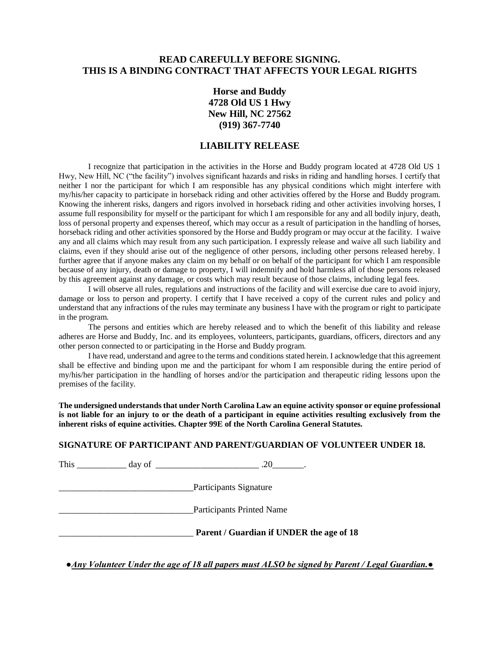## **READ CAREFULLY BEFORE SIGNING. THIS IS A BINDING CONTRACT THAT AFFECTS YOUR LEGAL RIGHTS**

**Horse and Buddy 4728 Old US 1 Hwy New Hill, NC 27562 (919) 367-7740**

#### **LIABILITY RELEASE**

I recognize that participation in the activities in the Horse and Buddy program located at 4728 Old US 1 Hwy, New Hill, NC ("the facility") involves significant hazards and risks in riding and handling horses. I certify that neither I nor the participant for which I am responsible has any physical conditions which might interfere with my/his/her capacity to participate in horseback riding and other activities offered by the Horse and Buddy program. Knowing the inherent risks, dangers and rigors involved in horseback riding and other activities involving horses, I assume full responsibility for myself or the participant for which I am responsible for any and all bodily injury, death, loss of personal property and expenses thereof, which may occur as a result of participation in the handling of horses, horseback riding and other activities sponsored by the Horse and Buddy program or may occur at the facility. I waive any and all claims which may result from any such participation. I expressly release and waive all such liability and claims, even if they should arise out of the negligence of other persons, including other persons released hereby. I further agree that if anyone makes any claim on my behalf or on behalf of the participant for which I am responsible because of any injury, death or damage to property, I will indemnify and hold harmless all of those persons released by this agreement against any damage, or costs which may result because of those claims, including legal fees.

I will observe all rules, regulations and instructions of the facility and will exercise due care to avoid injury, damage or loss to person and property. I certify that I have received a copy of the current rules and policy and understand that any infractions of the rules may terminate any business I have with the program or right to participate in the program.

The persons and entities which are hereby released and to which the benefit of this liability and release adheres are Horse and Buddy, Inc. and its employees, volunteers, participants, guardians, officers, directors and any other person connected to or participating in the Horse and Buddy program.

I have read, understand and agree to the terms and conditions stated herein. I acknowledge that this agreement shall be effective and binding upon me and the participant for whom I am responsible during the entire period of my/his/her participation in the handling of horses and/or the participation and therapeutic riding lessons upon the premises of the facility.

**The undersigned understands that under North Carolina Law an equine activity sponsor or equine professional is not liable for an injury to or the death of a participant in equine activities resulting exclusively from the inherent risks of equine activities. Chapter 99E of the North Carolina General Statutes.** 

#### **SIGNATURE OF PARTICIPANT AND PARENT/GUARDIAN OF VOLUNTEER UNDER 18.**

This day of 20 and 20

\_\_\_\_\_\_\_\_\_\_\_\_\_\_\_\_\_\_\_\_\_\_\_\_\_\_\_\_\_\_Participants Signature

\_\_\_\_\_\_\_\_\_\_\_\_\_\_\_\_\_\_\_\_\_\_\_\_\_\_\_\_\_\_Participants Printed Name

\_\_\_\_\_\_\_\_\_\_\_\_\_\_\_\_\_\_\_\_\_\_\_\_\_\_\_\_\_\_ **Parent / Guardian if UNDER the age of 18**

**●***Any Volunteer Under the age of 18 all papers must ALSO be signed by Parent / Legal Guardian.●*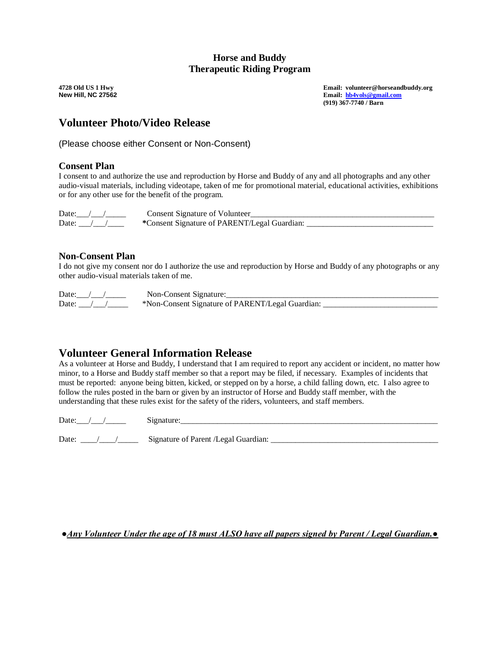### **Horse and Buddy Therapeutic Riding Program**

**4728 Old US 1 Hwy Email: volunteer@horseandbuddy.org New Hill, NC 27562 Email: [hb4vols@gmail.com](mailto:hb4vols@gmail.com) (919) 367-7740 / Barn**

## **Volunteer Photo/Video Release**

(Please choose either Consent or Non-Consent)

## **Consent Plan**

I consent to and authorize the use and reproduction by Horse and Buddy of any and all photographs and any other audio-visual materials, including videotape, taken of me for promotional material, educational activities, exhibitions or for any other use for the benefit of the program.

Date:\_\_\_/\_\_\_/\_\_\_\_\_ Consent Signature of Volunteer\_\_\_\_\_\_\_\_\_\_\_\_\_\_\_\_\_\_\_\_\_\_\_\_\_\_\_\_\_\_\_\_\_\_\_\_\_\_\_\_\_\_\_\_\_ Date:  $\frac{1}{2}$   $\frac{1}{2}$   $\frac{1}{2}$   $\frac{1}{2}$   $\frac{1}{2}$   $\frac{1}{2}$   $\frac{1}{2}$   $\frac{1}{2}$   $\frac{1}{2}$   $\frac{1}{2}$   $\frac{1}{2}$   $\frac{1}{2}$   $\frac{1}{2}$   $\frac{1}{2}$   $\frac{1}{2}$   $\frac{1}{2}$   $\frac{1}{2}$   $\frac{1}{2}$   $\frac{1}{2}$   $\frac{1}{2}$   $\frac{1}{2}$   $\frac{1}{$ 

### **Non-Consent Plan**

I do not give my consent nor do I authorize the use and reproduction by Horse and Buddy of any photographs or any other audio-visual materials taken of me.

Date:\_\_\_/\_\_\_/\_\_\_\_\_ Non-Consent Signature:\_\_\_\_\_\_\_\_\_\_\_\_\_\_\_\_\_\_\_\_\_\_\_\_\_\_\_\_\_\_\_\_\_\_\_\_\_\_\_\_\_\_\_\_\_\_\_\_\_\_\_\_

Date:  $\frac{1}{2}$   $\frac{1}{2}$   $\frac{1}{2}$  \*Non-Consent Signature of PARENT/Legal Guardian:

## **Volunteer General Information Release**

As a volunteer at Horse and Buddy, I understand that I am required to report any accident or incident, no matter how minor, to a Horse and Buddy staff member so that a report may be filed, if necessary. Examples of incidents that must be reported: anyone being bitten, kicked, or stepped on by a horse, a child falling down, etc. I also agree to follow the rules posted in the barn or given by an instructor of Horse and Buddy staff member, with the understanding that these rules exist for the safety of the riders, volunteers, and staff members.

| -<br>∼ |  |
|--------|--|
|        |  |

| Date: | Signature of Parent /Legal Guardian: |
|-------|--------------------------------------|
|       |                                      |

*●Any Volunteer Under the age of 18 must ALSO have all papers signed by Parent / Legal Guardian.●*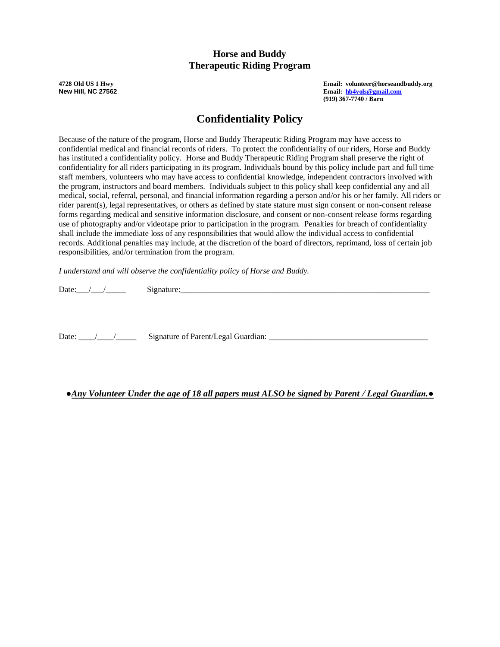## **Horse and Buddy Therapeutic Riding Program**

**4728 Old US 1 Hwy Email: volunteer@horseandbuddy.org New Hill, NC 27562 Email: [hb4vols@gmail.com](mailto:hb4vols@gmail.com) (919) 367-7740 / Barn**

# **Confidentiality Policy**

Because of the nature of the program, Horse and Buddy Therapeutic Riding Program may have access to confidential medical and financial records of riders. To protect the confidentiality of our riders, Horse and Buddy has instituted a confidentiality policy. Horse and Buddy Therapeutic Riding Program shall preserve the right of confidentiality for all riders participating in its program. Individuals bound by this policy include part and full time staff members, volunteers who may have access to confidential knowledge, independent contractors involved with the program, instructors and board members. Individuals subject to this policy shall keep confidential any and all medical, social, referral, personal, and financial information regarding a person and/or his or her family. All riders or rider parent(s), legal representatives, or others as defined by state stature must sign consent or non-consent release forms regarding medical and sensitive information disclosure, and consent or non-consent release forms regarding use of photography and/or videotape prior to participation in the program. Penalties for breach of confidentiality shall include the immediate loss of any responsibilities that would allow the individual access to confidential records. Additional penalties may include, at the discretion of the board of directors, reprimand, loss of certain job responsibilities, and/or termination from the program.

*I understand and will observe the confidentiality policy of Horse and Buddy.*

Date: $\angle$  /  $\angle$  /  $\angle$  Signature:

Date: \_\_\_\_/\_\_\_\_/\_\_\_\_\_ Signature of Parent/Legal Guardian: \_\_\_\_\_\_\_\_\_\_\_\_\_\_\_\_\_\_\_\_\_\_\_\_\_\_\_\_\_\_\_\_\_\_\_\_\_\_\_

#### **●***Any Volunteer Under the age of 18 all papers must ALSO be signed by Parent / Legal Guardian.●*